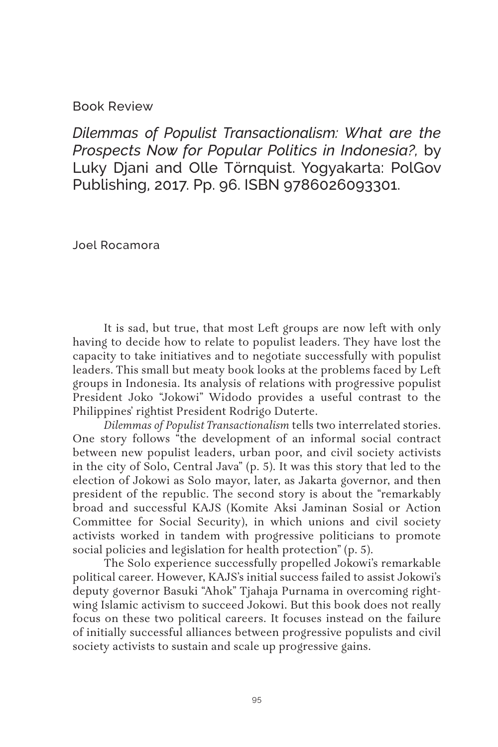## Book Review

*Dilemmas of Populist Transactionalism: What are the Prospects Now for Popular Politics in Indonesia?,* by Luky Djani and Olle Törnquist. Yogyakarta: PolGov Publishing, 2017. Pp. 96. ISBN 9786026093301.

Joel Rocamora

It is sad, but true, that most Left groups are now left with only having to decide how to relate to populist leaders. They have lost the capacity to take initiatives and to negotiate successfully with populist leaders. This small but meaty book looks at the problems faced by Left groups in Indonesia. Its analysis of relations with progressive populist President Joko "Jokowi" Widodo provides a useful contrast to the Philippines' rightist President Rodrigo Duterte.

*Dilemmas of Populist Transactionalism* tells two interrelated stories. One story follows "the development of an informal social contract between new populist leaders, urban poor, and civil society activists in the city of Solo, Central Java" (p. 5). It was this story that led to the election of Jokowi as Solo mayor, later, as Jakarta governor, and then president of the republic. The second story is about the "remarkably broad and successful KAJS (Komite Aksi Jaminan Sosial or Action Committee for Social Security), in which unions and civil society activists worked in tandem with progressive politicians to promote social policies and legislation for health protection" (p. 5).

The Solo experience successfully propelled Jokowi's remarkable political career. However, KAJS's initial success failed to assist Jokowi's deputy governor Basuki "Ahok" Tjahaja Purnama in overcoming rightwing Islamic activism to succeed Jokowi. But this book does not really focus on these two political careers. It focuses instead on the failure of initially successful alliances between progressive populists and civil society activists to sustain and scale up progressive gains.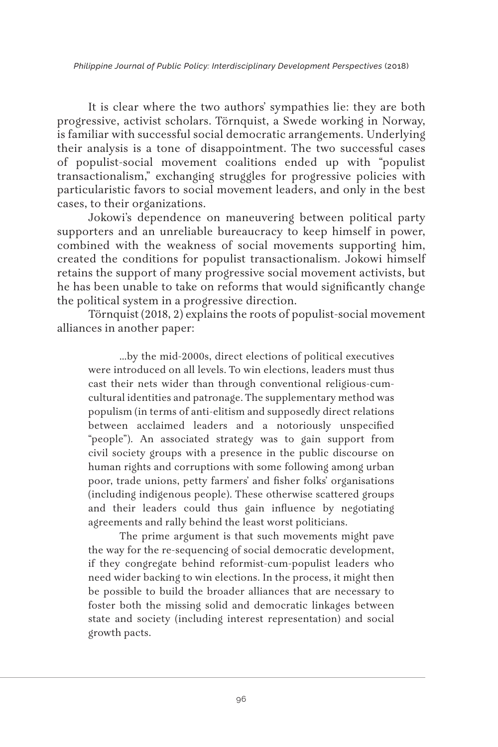*Philippine Journal of Public Policy: Interdisciplinary Development Perspectives* (2018)

It is clear where the two authors' sympathies lie: they are both progressive, activist scholars. Törnquist, a Swede working in Norway, is familiar with successful social democratic arrangements. Underlying their analysis is a tone of disappointment. The two successful cases of populist-social movement coalitions ended up with "populist transactionalism," exchanging struggles for progressive policies with particularistic favors to social movement leaders, and only in the best cases, to their organizations.

Jokowi's dependence on maneuvering between political party supporters and an unreliable bureaucracy to keep himself in power, combined with the weakness of social movements supporting him, created the conditions for populist transactionalism. Jokowi himself retains the support of many progressive social movement activists, but he has been unable to take on reforms that would significantly change the political system in a progressive direction.

Törnquist (2018, 2) explains the roots of populist-social movement alliances in another paper:

…by the mid-2000s, direct elections of political executives were introduced on all levels. To win elections, leaders must thus cast their nets wider than through conventional religious-cumcultural identities and patronage. The supplementary method was populism (in terms of anti-elitism and supposedly direct relations between acclaimed leaders and a notoriously unspecified "people"). An associated strategy was to gain support from civil society groups with a presence in the public discourse on human rights and corruptions with some following among urban poor, trade unions, petty farmers' and fisher folks' organisations (including indigenous people). These otherwise scattered groups and their leaders could thus gain influence by negotiating agreements and rally behind the least worst politicians.

The prime argument is that such movements might pave the way for the re-sequencing of social democratic development, if they congregate behind reformist-cum-populist leaders who need wider backing to win elections. In the process, it might then be possible to build the broader alliances that are necessary to foster both the missing solid and democratic linkages between state and society (including interest representation) and social growth pacts.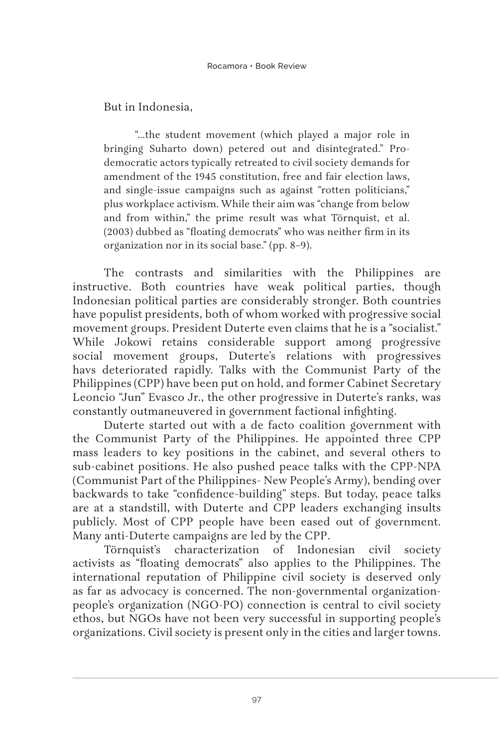But in Indonesia,

"…the student movement (which played a major role in bringing Suharto down) petered out and disintegrated." Prodemocratic actors typically retreated to civil society demands for amendment of the 1945 constitution, free and fair election laws, and single-issue campaigns such as against "rotten politicians," plus workplace activism. While their aim was "change from below and from within," the prime result was what Törnquist, et al. (2003) dubbed as "floating democrats" who was neither firm in its organization nor in its social base." (pp. 8–9).

The contrasts and similarities with the Philippines are instructive. Both countries have weak political parties, though Indonesian political parties are considerably stronger. Both countries have populist presidents, both of whom worked with progressive social movement groups. President Duterte even claims that he is a "socialist." While Jokowi retains considerable support among progressive social movement groups, Duterte's relations with progressives havs deteriorated rapidly. Talks with the Communist Party of the Philippines (CPP) have been put on hold, and former Cabinet Secretary Leoncio "Jun" Evasco Jr., the other progressive in Duterte's ranks, was constantly outmaneuvered in government factional infighting.

Duterte started out with a de facto coalition government with the Communist Party of the Philippines. He appointed three CPP mass leaders to key positions in the cabinet, and several others to sub-cabinet positions. He also pushed peace talks with the CPP-NPA (Communist Part of the Philippines- New People's Army), bending over backwards to take "confidence-building" steps. But today, peace talks are at a standstill, with Duterte and CPP leaders exchanging insults publicly. Most of CPP people have been eased out of government. Many anti-Duterte campaigns are led by the CPP.

Törnquist's characterization of Indonesian civil society activists as "floating democrats" also applies to the Philippines. The international reputation of Philippine civil society is deserved only as far as advocacy is concerned. The non-governmental organizationpeople's organization (NGO-PO) connection is central to civil society ethos, but NGOs have not been very successful in supporting people's organizations. Civil society is present only in the cities and larger towns.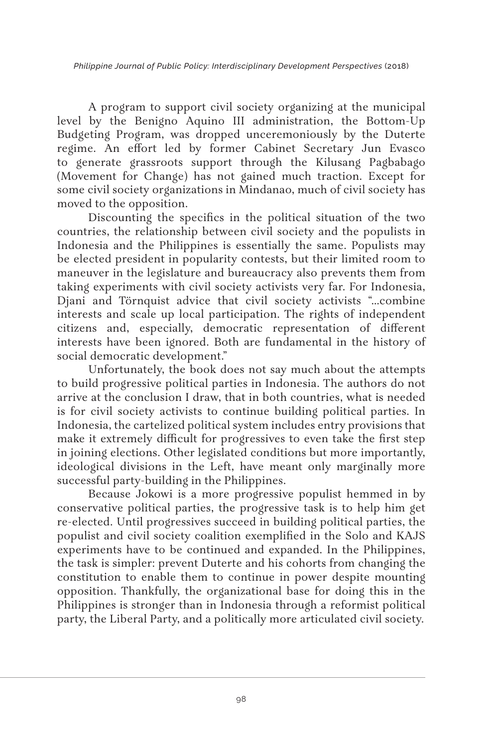*Philippine Journal of Public Policy: Interdisciplinary Development Perspectives* (2018)

A program to support civil society organizing at the municipal level by the Benigno Aquino III administration, the Bottom-Up Budgeting Program, was dropped unceremoniously by the Duterte regime. An effort led by former Cabinet Secretary Jun Evasco to generate grassroots support through the Kilusang Pagbabago (Movement for Change) has not gained much traction. Except for some civil society organizations in Mindanao, much of civil society has moved to the opposition.

Discounting the specifics in the political situation of the two countries, the relationship between civil society and the populists in Indonesia and the Philippines is essentially the same. Populists may be elected president in popularity contests, but their limited room to maneuver in the legislature and bureaucracy also prevents them from taking experiments with civil society activists very far. For Indonesia, Djani and Törnquist advice that civil society activists "…combine interests and scale up local participation. The rights of independent citizens and, especially, democratic representation of different interests have been ignored. Both are fundamental in the history of social democratic development."

Unfortunately, the book does not say much about the attempts to build progressive political parties in Indonesia. The authors do not arrive at the conclusion I draw, that in both countries, what is needed is for civil society activists to continue building political parties. In Indonesia, the cartelized political system includes entry provisions that make it extremely difficult for progressives to even take the first step in joining elections. Other legislated conditions but more importantly, ideological divisions in the Left, have meant only marginally more successful party-building in the Philippines.

Because Jokowi is a more progressive populist hemmed in by conservative political parties, the progressive task is to help him get re-elected. Until progressives succeed in building political parties, the populist and civil society coalition exemplified in the Solo and KAJS experiments have to be continued and expanded. In the Philippines, the task is simpler: prevent Duterte and his cohorts from changing the constitution to enable them to continue in power despite mounting opposition. Thankfully, the organizational base for doing this in the Philippines is stronger than in Indonesia through a reformist political party, the Liberal Party, and a politically more articulated civil society.